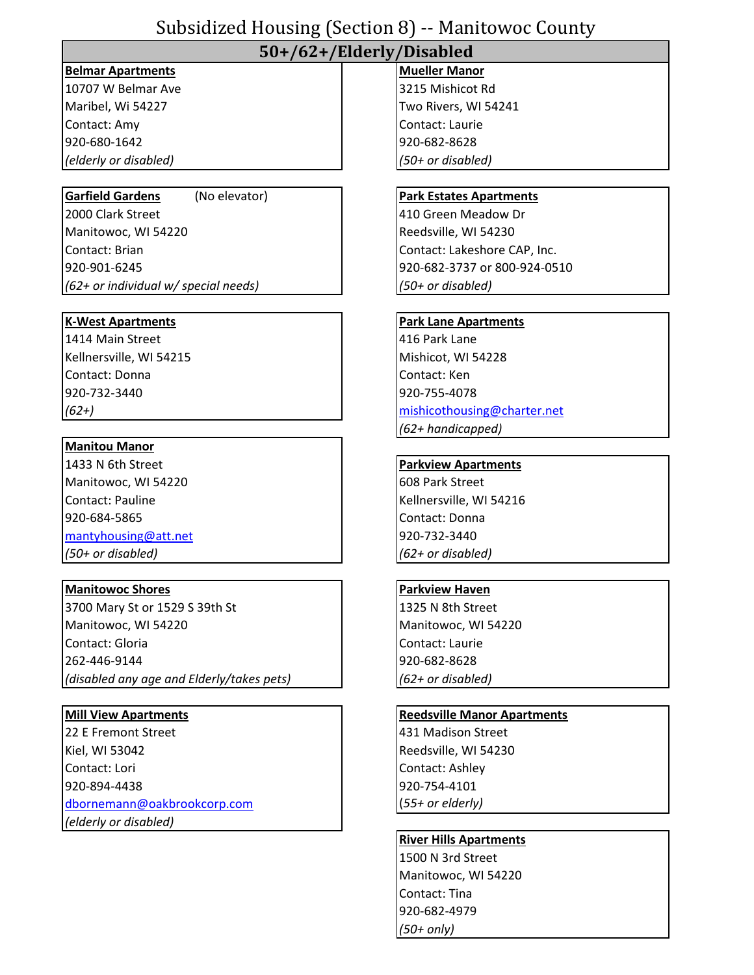# Subsidized Housing (Section 8) -- Manitowoc County

## **50+/62+/Elderly/Disabled**

## **Belmar Apartments Mueller Manor Mueller Manor**

10707 W Belmar Ave 3215 Mishicot Rd Contact: Amy Contact: Laurie 920-680-1642 920-682-8628 *(elderly or disabled) (50+ or disabled)*

2000 Clark Street 410 Green Meadow Dr Manitowoc, WI 54220 Reedsville, WI 54230 Contact: Brian Contact: Lakeshore CAP, Inc. 920-901-6245 920-682-3737 or 800-924-0510 *(62+ or individual w/ special needs) (50+ or disabled)*

1414 Main Street **1416 Park Lane** Kellnersville, WI 54215 Mishicot, WI 54228 Contact: Donna Contact: Ken 920-732-3440 920-755-4078

### **Manitou Manor**

1433 N 6th Street **Parkview Apartments** Manitowoc, WI 54220 **608 Park Street** Contact: Pauline Kellnersville, WI 54216 920-684-5865 Contact: Donna [mantyhousing@att.net](mailto:Mantyhousing@att.net) 920-732-3440 *(50+ or disabled) (62+ or disabled)*

### **Manitowoc Shores Parkview Haven**

3700 Mary St or 1529 S 39th St 1325 N 8th Street Manitowoc, WI 54220 Manitowoc, WI 54220 Contact: Gloria Contact: Laurie 262-446-9144 920-682-8628 *(disabled any age and Elderly/takes pets) (62+ or disabled)*

22 E Fremont Street **431 Madison Street** Kiel, WI 53042 Reedsville, WI 54230 Contact: Lori Contact: Ashley 920-894-4438 920-754-4101 [dbornemann@oakbrookcorp.com](mailto:dbornemann@oakbrookcorp.com) (*55+ or elderly) (elderly or disabled)*

Maribel, Wi 54227 Two Rivers, WI 54241

### Garfield Gardens (No elevator) **Park Estates Apartments**

### **K-West Apartments Park Lane Apartments**

*(62+)* [mishicothousing@charter.net](mailto:mishicothousing@charter.net) *(62+ handicapped)*

#### **Mill View Apartments Reedsville Manor Apartments**

### **River Hills Apartments**

1500 N 3rd Street Manitowoc, WI 54220 Contact: Tina 920-682-4979 *(50+ only)*